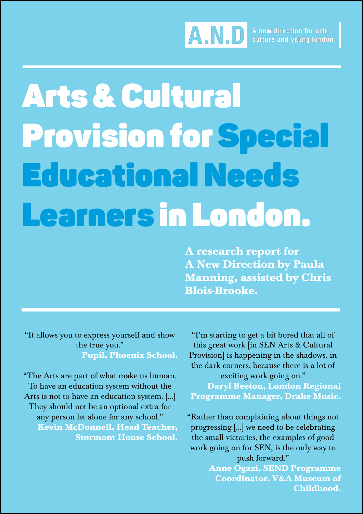

# Arts & Cultural Provision for Special Educational Needs Learners in London.

**A research report for A New Direction by Paula Manning, assisted by Chris Blois-Brooke.**

"It allows you to express yourself and show the true you." **Pupil, Phoenix School.**

"The Arts are part of what make us human. To have an education system without the Arts is not to have an education system. [...] They should not be an optional extra for any person let alone for any school." **Kevin McDonnell, Head Teacher, Stormont House School.**

"I'm starting to get a bit bored that all of this great work [in SEN Arts & Cultural Provision] is happening in the shadows, in the dark corners, because there is a lot of exciting work going on." **Daryl Beeton, London Regional Programme Manager, Drake Music.**

"Rather than complaining about things not progressing [...] we need to be celebrating the small victories, the examples of good work going on for SEN, is the only way to push forward."

> **Anne Ogazi, SEND Programme Coordinator, V&A Museum of Childhood.**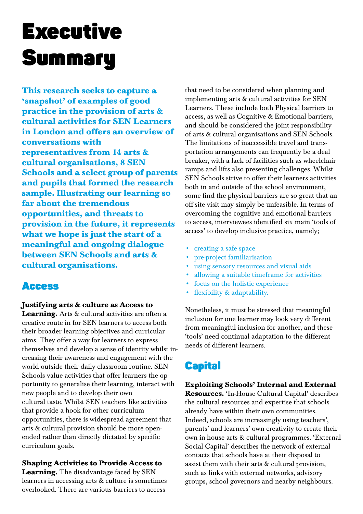# Executive **Summary**

**This research seeks to capture a 'snapshot' of examples of good practice in the provision of arts & cultural activities for SEN Learners in London and offers an overview of conversations with representatives from 14 arts & cultural organisations, 8 SEN Schools and a select group of parents and pupils that formed the research sample. Illustrating our learning so far about the tremendous opportunities, and threats to provision in the future, it represents what we hope is just the start of a meaningful and ongoing dialogue between SEN Schools and arts & cultural organisations.**

# Access

#### **Justifying arts & culture as Access to**

**Learning.** Arts & cultural activities are often a creative route in for SEN learners to access both their broader learning objectives and curricular aims. They offer a way for learners to express themselves and develop a sense of identity whilst increasing their awareness and engagement with the world outside their daily classroom routine. SEN Schools value activities that offer learners the opportunity to generalise their learning, interact with new people and to develop their own cultural taste. Whilst SEN teachers like activities that provide a hook for other curriculum opportunities, there is widespread agreement that arts & cultural provision should be more openended rather than directly dictated by specific curriculum goals.

**Shaping Activities to Provide Access to Learning.** The disadvantage faced by SEN learners in accessing arts & culture is sometimes overlooked. There are various barriers to access

that need to be considered when planning and implementing arts & cultural activities for SEN Learners. These include both Physical barriers to access, as well as Cognitive & Emotional barriers, and should be considered the joint responsibility of arts & cultural organisations and SEN Schools. The limitations of inaccessible travel and transportation arrangements can frequently be a deal breaker, with a lack of facilities such as wheelchair ramps and lifts also presenting challenges. Whilst SEN Schools strive to offer their learners activities both in and outside of the school environment, some find the physical barriers are so great that an off-site visit may simply be unfeasible. In terms of overcoming the cognitive and emotional barriers to access, interviewees identified six main 'tools of access' to develop inclusive practice, namely;

- • creating a safe space
- • pre-project familiarisation
- using sensory resources and visual aids
- allowing a suitable timeframe for activities
- focus on the holistic experience
- • flexibility & adaptability.

Nonetheless, it must be stressed that meaningful inclusion for one learner may look very different from meaningful inclusion for another, and these 'tools' need continual adaptation to the different needs of different learners.

# **Capital**

#### **Exploiting Schools' Internal and External Resources.** 'In-House Cultural Capital' describes the cultural resources and expertise that schools already have within their own communities. Indeed, schools are increasingly using teachers', parents' and learners' own creativity to create their own in-house arts & cultural programmes. 'External Social Capital' describes the network of external contacts that schools have at their disposal to assist them with their arts & cultural provision, such as links with external networks, advisory groups, school governors and nearby neighbours.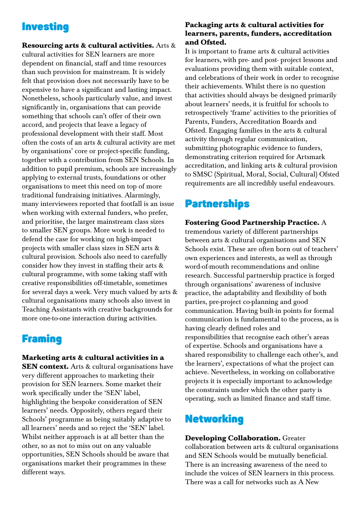# Investing

**Resourcing arts & cultural activities.** Arts & cultural activities for SEN learners are more dependent on financial, staff and time resources than such provision for mainstream. It is widely felt that provision does not necessarily have to be expensive to have a significant and lasting impact. Nonetheless, schools particularly value, and invest significantly in, organisations that can provide something that schools can't offer of their own accord, and projects that leave a legacy of professional development with their staff. Most often the costs of an arts & cultural activity are met by organisations' core or project-specific funding, together with a contribution from SEN Schools. In addition to pupil premium, schools are increasingly applying to external trusts, foundations or other organisations to meet this need on top of more traditional fundraising initiatives. Alarmingly, many interviewees reported that footfall is an issue when working with external funders, who prefer, and prioritise, the larger mainstream class sizes to smaller SEN groups. More work is needed to defend the case for working on high-impact projects with smaller class sizes in SEN arts & cultural provision. Schools also need to carefully consider how they invest in staffing their arts & cultural programme, with some taking staff with creative responsibilities off-timetable, sometimes for several days a week. Very much valued by arts & cultural organisations many schools also invest in Teaching Assistants with creative backgrounds for more one-to-one interaction during activities.

# **Framing**

#### **Marketing arts & cultural activities in a**

**SEN context.** Arts & cultural organisations have very different approaches to marketing their provision for SEN learners. Some market their work specifically under the 'SEN' label, highlighting the bespoke consideration of SEN learners' needs. Oppositely, others regard their Schools' programme as being suitably adaptive to all learners' needs and so reject the 'SEN' label. Whilst neither approach is at all better than the other, so as not to miss out on any valuable opportunities, SEN Schools should be aware that organisations market their programmes in these different ways.

#### **Packaging arts & cultural activities for learners, parents, funders, accreditation and Ofsted.**

It is important to frame arts & cultural activities for learners, with pre- and post- project lessons and evaluations providing them with suitable context, and celebrations of their work in order to recognise their achievements. Whilst there is no question that activities should always be designed primarily about learners' needs, it is fruitful for schools to retrospectively 'frame' activities to the priorities of Parents, Funders, Accreditation Boards and Ofsted. Engaging families in the arts & cultural activity through regular communication, submitting photographic evidence to funders, demonstrating criterion required for Artsmark accreditation, and linking arts & cultural provision to SMSC (Spiritual, Moral, Social, Cultural) Ofsted requirements are all incredibly useful endeavours.

# **Partnerships**

**Fostering Good Partnership Practice.** A

tremendous variety of different partnerships between arts & cultural organisations and SEN Schools exist. These are often born out of teachers' own experiences and interests, as well as through word-of-mouth recommendations and online research. Successful partnership practice is forged through organisations' awareness of inclusive practice, the adaptability and flexibility of both parties, pre-project co-planning and good communication. Having built-in points for formal communication is fundamental to the process, as is having clearly defined roles and responsibilities that recognise each other's areas of expertise. Schools and organisations have a shared responsibility to challenge each other's, and the learners', expectations of what the project can achieve. Nevertheless, in working on collaborative projects it is especially important to acknowledge the constraints under which the other party is operating, such as limited finance and staff time.

# **Networking**

**Developing Collaboration.** Greater collaboration between arts & cultural organisations and SEN Schools would be mutually beneficial. There is an increasing awareness of the need to include the voices of SEN learners in this process. There was a call for networks such as A New